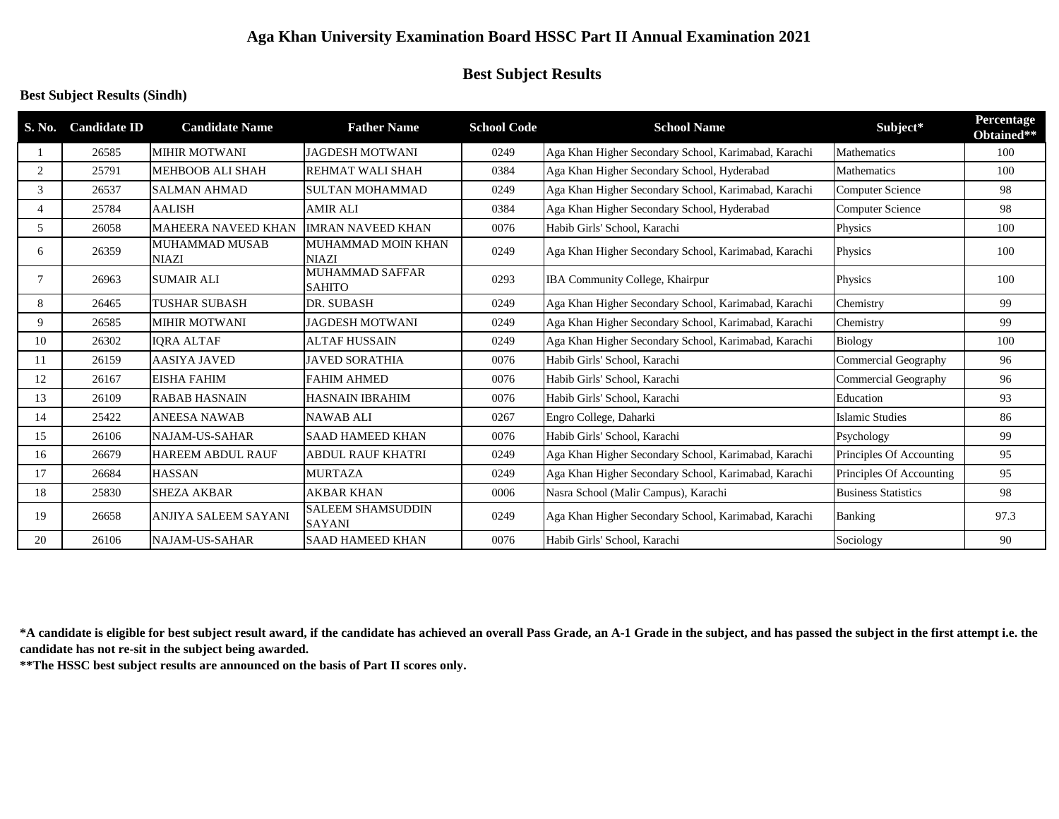# **Aga Khan University Examination Board HSSC Part II Annual Examination 2021**

# **Best Subject Results**

## **Best Subject Results (Sindh)**

| S. No.                   | <b>Candidate ID</b> | <b>Candidate Name</b>                 | <b>Father Name</b>                        | <b>School Code</b> | <b>School Name</b>                                   | Subject*                   | Percentage<br>Obtained** |
|--------------------------|---------------------|---------------------------------------|-------------------------------------------|--------------------|------------------------------------------------------|----------------------------|--------------------------|
|                          | 26585               | <b>MIHIR MOTWANI</b>                  | <b>JAGDESH MOTWANI</b>                    | 0249               | Aga Khan Higher Secondary School, Karimabad, Karachi | Mathematics                | 100                      |
| 2                        | 25791               | <b>MEHBOOB ALI SHAH</b>               | <b>REHMAT WALI SHAH</b>                   | 0384               | Aga Khan Higher Secondary School, Hyderabad          | Mathematics                | 100                      |
| 3                        | 26537               | <b>SALMAN AHMAD</b>                   | <b>SULTAN MOHAMMAD</b>                    | 0249               | Aga Khan Higher Secondary School, Karimabad, Karachi | <b>Computer Science</b>    | 98                       |
| $\overline{\mathcal{A}}$ | 25784               | <b>AALISH</b>                         | <b>AMIR ALI</b>                           | 0384               | Aga Khan Higher Secondary School, Hyderabad          | <b>Computer Science</b>    | 98                       |
| 5                        | 26058               | <b>MAHEERA NAVEED KHAN</b>            | <b>IMRAN NAVEED KHAN</b>                  | 0076               | Habib Girls' School, Karachi                         | Physics                    | 100                      |
| 6                        | 26359               | <b>MUHAMMAD MUSAB</b><br><b>NIAZI</b> | MUHAMMAD MOIN KHAN<br><b>NIAZI</b>        | 0249               | Aga Khan Higher Secondary School, Karimabad, Karachi | Physics                    | 100                      |
| 7                        | 26963               | <b>SUMAIR ALI</b>                     | <b>MUHAMMAD SAFFAR</b><br><b>SAHITO</b>   | 0293               | IBA Community College, Khairpur                      | Physics                    | 100                      |
| 8                        | 26465               | <b>TUSHAR SUBASH</b>                  | DR. SUBASH                                | 0249               | Aga Khan Higher Secondary School, Karimabad, Karachi | Chemistry                  | 99                       |
| 9                        | 26585               | <b>MIHIR MOTWANI</b>                  | <b>JAGDESH MOTWANI</b>                    | 0249               | Aga Khan Higher Secondary School, Karimabad, Karachi | Chemistry                  | 99                       |
| 10                       | 26302               | <b>IORA ALTAF</b>                     | <b>ALTAF HUSSAIN</b>                      | 0249               | Aga Khan Higher Secondary School, Karimabad, Karachi | <b>Biology</b>             | 100                      |
| 11                       | 26159               | <b>AASIYA JAVED</b>                   | JAVED SORATHIA                            | 0076               | Habib Girls' School, Karachi                         | Commercial Geography       | 96                       |
| 12                       | 26167               | <b>EISHA FAHIM</b>                    | <b>FAHIM AHMED</b>                        | 0076               | Habib Girls' School, Karachi                         | Commercial Geography       | 96                       |
| 13                       | 26109               | <b>RABAB HASNAIN</b>                  | <b>HASNAIN IBRAHIM</b>                    | 0076               | Habib Girls' School, Karachi                         | Education                  | 93                       |
| 14                       | 25422               | <b>ANEESA NAWAB</b>                   | <b>NAWAB ALI</b>                          | 0267               | Engro College, Daharki                               | <b>Islamic Studies</b>     | 86                       |
| 15                       | 26106               | <b>NAJAM-US-SAHAR</b>                 | <b>SAAD HAMEED KHAN</b>                   | 0076               | Habib Girls' School, Karachi                         | Psychology                 | 99                       |
| 16                       | 26679               | <b>HAREEM ABDUL RAUF</b>              | <b>ABDUL RAUF KHATRI</b>                  | 0249               | Aga Khan Higher Secondary School, Karimabad, Karachi | Principles Of Accounting   | 95                       |
| 17                       | 26684               | <b>HASSAN</b>                         | <b>MURTAZA</b>                            | 0249               | Aga Khan Higher Secondary School, Karimabad, Karachi | Principles Of Accounting   | 95                       |
| 18                       | 25830               | <b>SHEZA AKBAR</b>                    | <b>AKBAR KHAN</b>                         | 0006               | Nasra School (Malir Campus), Karachi                 | <b>Business Statistics</b> | 98                       |
| 19                       | 26658               | ANJIYA SALEEM SAYANI                  | <b>SALEEM SHAMSUDDIN</b><br><b>SAYANI</b> | 0249               | Aga Khan Higher Secondary School, Karimabad, Karachi | <b>Banking</b>             | 97.3                     |
| 20                       | 26106               | <b>NAJAM-US-SAHAR</b>                 | <b>SAAD HAMEED KHAN</b>                   | 0076               | Habib Girls' School, Karachi                         | Sociology                  | 90                       |

**\*A candidate is eligible for best subject result award, if the candidate has achieved an overall Pass Grade, an A-1 Grade in the subject, and has passed the subject in the first attempt i.e. the candidate has not re-sit in the subject being awarded.**

**\*\*The HSSC best subject results are announced on the basis of Part II scores only.**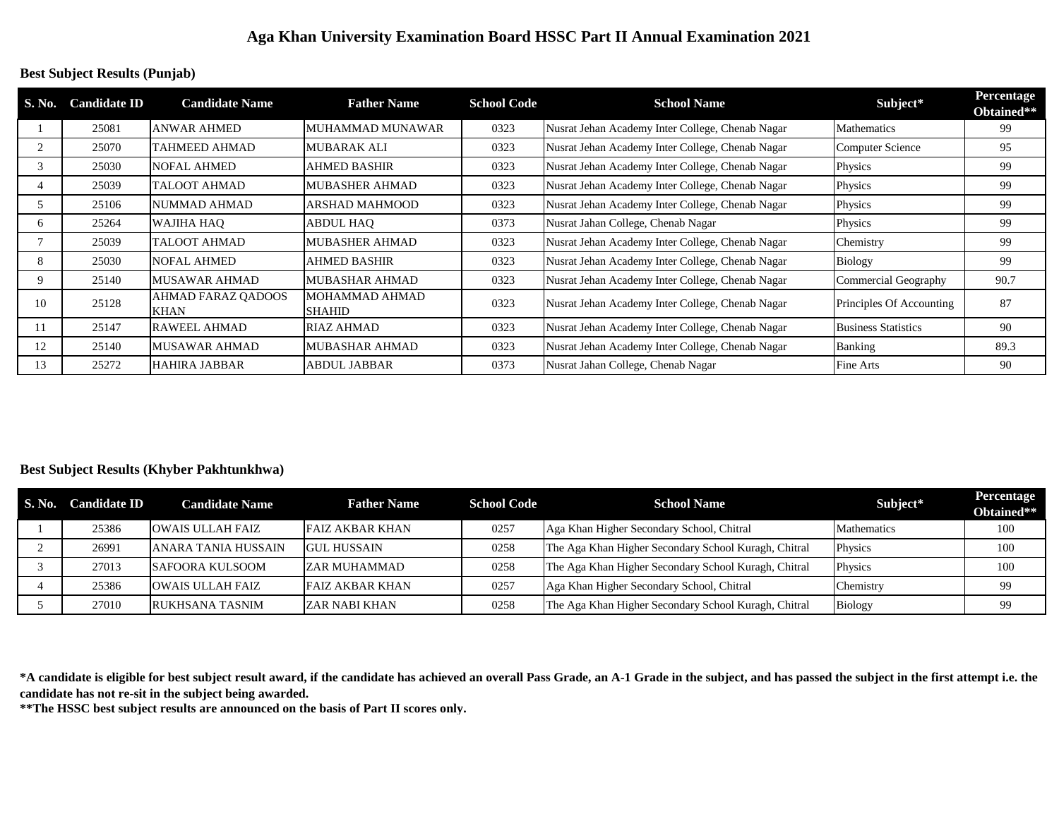## **Aga Khan University Examination Board HSSC Part II Annual Examination 2021**

#### **Best Subject Results (Punjab)**

| S. No. | <b>Candidate ID</b> | <b>Candidate Name</b>                    | <b>Father Name</b>              | <b>School Code</b> | <b>School Name</b>                               | Subject*                   | Percentage<br>Obtained** |
|--------|---------------------|------------------------------------------|---------------------------------|--------------------|--------------------------------------------------|----------------------------|--------------------------|
|        | 25081               | <b>ANWAR AHMED</b>                       | MUHAMMAD MUNAWAR                | 0323               | Nusrat Jehan Academy Inter College, Chenab Nagar | <b>Mathematics</b>         | 99                       |
|        | 25070               | TAHMEED AHMAD                            | <b>MUBARAK ALI</b>              | 0323               | Nusrat Jehan Academy Inter College, Chenab Nagar | Computer Science           | 95                       |
| 3      | 25030               | <b>NOFAL AHMED</b>                       | <b>AHMED BASHIR</b>             | 0323               | Nusrat Jehan Academy Inter College, Chenab Nagar | Physics                    | 99                       |
| 4      | 25039               | TALOOT AHMAD                             | <b>MUBASHER AHMAD</b>           | 0323               | Nusrat Jehan Academy Inter College, Chenab Nagar | Physics                    | 99                       |
|        | 25106               | NUMMAD AHMAD                             | ARSHAD MAHMOOD                  | 0323               | Nusrat Jehan Academy Inter College, Chenab Nagar | Physics                    | 99                       |
| 6      | 25264               | WAJIHA HAO                               | <b>ABDUL HAO</b>                | 0373               | Nusrat Jahan College, Chenab Nagar               | Physics                    | 99                       |
|        | 25039               | TALOOT AHMAD                             | <b>MUBASHER AHMAD</b>           | 0323               | Nusrat Jehan Academy Inter College, Chenab Nagar | Chemistry                  | 99                       |
| 8      | 25030               | <b>NOFAL AHMED</b>                       | <b>AHMED BASHIR</b>             | 0323               | Nusrat Jehan Academy Inter College, Chenab Nagar | <b>Biology</b>             | 99                       |
| 9      | 25140               | <b>MUSAWAR AHMAD</b>                     | <b>MUBASHAR AHMAD</b>           | 0323               | Nusrat Jehan Academy Inter College, Chenab Nagar | Commercial Geography       | 90.7                     |
| 10     | 25128               | <b>AHMAD FARAZ QADOOS</b><br><b>KHAN</b> | MOHAMMAD AHMAD<br><b>SHAHID</b> | 0323               | Nusrat Jehan Academy Inter College, Chenab Nagar | Principles Of Accounting   | 87                       |
|        | 25147               | <b>RAWEEL AHMAD</b>                      | RIAZ AHMAD                      | 0323               | Nusrat Jehan Academy Inter College, Chenab Nagar | <b>Business Statistics</b> | 90                       |
| 12     | 25140               | <b>MUSAWAR AHMAD</b>                     | <b>MUBASHAR AHMAD</b>           | 0323               | Nusrat Jehan Academy Inter College, Chenab Nagar | <b>Banking</b>             | 89.3                     |
| 13     | 25272               | <b>HAHIRA JABBAR</b>                     | <b>ABDUL JABBAR</b>             | 0373               | Nusrat Jahan College, Chenab Nagar               | Fine Arts                  | 90                       |

### **Best Subject Results (Khyber Pakhtunkhwa)**

| S. No. | <b>Candidate ID</b> | <b>Candidate Name</b>      | <b>Father Name</b>     | <b>School Code</b> | <b>School Name</b>                                   | Subject*       | Percentage<br>Obtained** |
|--------|---------------------|----------------------------|------------------------|--------------------|------------------------------------------------------|----------------|--------------------------|
|        | 25386               | <b>OWAIS ULLAH FAIZ</b>    | FAIZ AKBAR KHAN        | 0257               | Aga Khan Higher Secondary School, Chitral            | Mathematics    | 100                      |
|        | 26991               | <b>ANARA TANIA HUSSAIN</b> | <b>GUL HUSSAIN</b>     | 0258               | The Aga Khan Higher Secondary School Kuragh, Chitral | Physics        | 100                      |
|        | 27013               | <b>SAFOORA KULSOOM</b>     | <b>ZAR MUHAMMAD</b>    | 0258               | The Aga Khan Higher Secondary School Kuragh, Chitral | Physics        | 100                      |
|        | 25386               | <b>OWAIS ULLAH FAIZ</b>    | <b>FAIZ AKBAR KHAN</b> | 0257               | Aga Khan Higher Secondary School, Chitral            | Chemistry      | 99                       |
|        | 27010               | RUKHSANA TASNIM            | <b>ZAR NABI KHAN</b>   | 0258               | The Aga Khan Higher Secondary School Kuragh, Chitral | <b>Biology</b> | 99                       |

**\*A candidate is eligible for best subject result award, if the candidate has achieved an overall Pass Grade, an A-1 Grade in the subject, and has passed the subject in the first attempt i.e. the candidate has not re-sit in the subject being awarded.**

**\*\*The HSSC best subject results are announced on the basis of Part II scores only.**